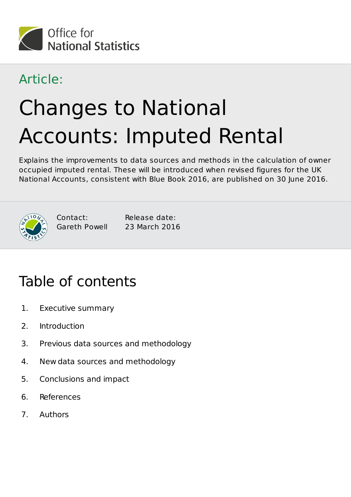

#### Article:

# Changes to National Accounts: Imputed Rental

Explains the improvements to data sources and methods in the calculation of owner occupied imputed rental. These will be introduced when revised figures for the UK National Accounts, consistent with Blue Book 2016, are published on 30 June 2016.



Contact: Gareth Powell

Release date: 23 March 2016

### Table of contents

- 1. Executive summary
- 2. Introduction
- 3. Previous data sources and methodology
- 4. New data sources and methodology
- 5. Conclusions and impact
- 6. References
- 7. Authors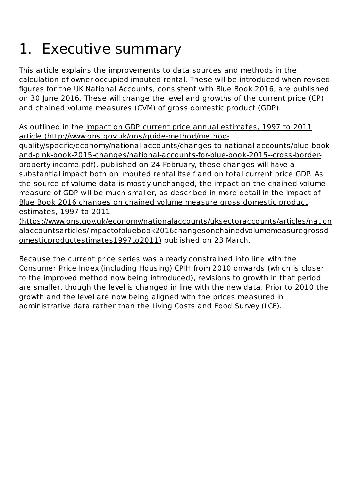## 1. Executive summary

This article explains the improvements to data sources and methods in the calculation of owner-occupied imputed rental. These will be introduced when revised figures for the UK National Accounts, consistent with Blue Book 2016, are published on 30 June 2016. These will change the level and growths of the current price (CP) and chained volume measures (CVM) of gross domestic product (GDP).

As outlined in the Impact on GDP current price annual estimates, 1997 to 2011 article (http://www.ons.gov.uk/ons/guide-method/method-

quality/specific/economy/national-accounts/changes-to-national-accounts/blue-bookand-pink-book-2015-changes/national-accounts-for-blue-book-2015--cross-borderproperty-income.pdf), published on 24 February, these changes will have a substantial impact both on imputed rental itself and on total current price GDP. As the source of volume data is mostly unchanged, the impact on the chained volume measure of GDP will be much smaller, as described in more detail in the Impact of Blue Book 2016 changes on chained volume measure gross domestic product estimates, 1997 to 2011

(https://www.ons.gov.uk/economy/nationalaccounts/uksectoraccounts/articles/nation alaccountsarticles/impactofbluebook2016changesonchainedvolumemeasuregrossd omesticproductestimates1997to2011) published on 23 March.

Because the current price series was already constrained into line with the Consumer Price Index (including Housing) CPIH from 2010 onwards (which is closer to the improved method now being introduced), revisions to growth in that period are smaller, though the level is changed in line with the new data. Prior to 2010 the growth and the level are now being aligned with the prices measured in administrative data rather than the Living Costs and Food Survey (LCF).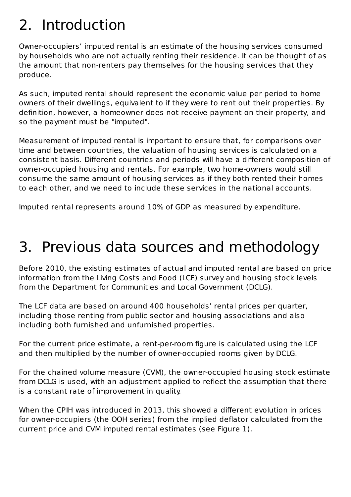#### 2. Introduction

Owner-occupiers' imputed rental is an estimate of the housing services consumed by households who are not actually renting their residence. It can be thought of as the amount that non-renters pay themselves for the housing services that they produce.

As such, imputed rental should represent the economic value per period to home owners of their dwellings, equivalent to if they were to rent out their properties. By definition, however, a homeowner does not receive payment on their property, and so the payment must be "imputed".

Measurement of imputed rental is important to ensure that, for comparisons over time and between countries, the valuation of housing services is calculated on a consistent basis. Different countries and periods will have a different composition of owner-occupied housing and rentals. For example, two home-owners would still consume the same amount of housing services as if they both rented their homes to each other, and we need to include these services in the national accounts.

Imputed rental represents around 10% of GDP as measured by expenditure.

### 3. Previous data sources and methodology

Before 2010, the existing estimates of actual and imputed rental are based on price information from the Living Costs and Food (LCF) survey and housing stock levels from the Department for Communities and Local Government (DCLG).

The LCF data are based on around 400 households' rental prices per quarter, including those renting from public sector and housing associations and also including both furnished and unfurnished properties.

For the current price estimate, a rent-per-room figure is calculated using the LCF and then multiplied by the number of owner-occupied rooms given by DCLG.

For the chained volume measure (CVM), the owner-occupied housing stock estimate from DCLG is used, with an adjustment applied to reflect the assumption that there is a constant rate of improvement in quality.

When the CPIH was introduced in 2013, this showed a different evolution in prices for owner-occupiers (the OOH series) from the implied deflator calculated from the current price and CVM imputed rental estimates (see Figure 1).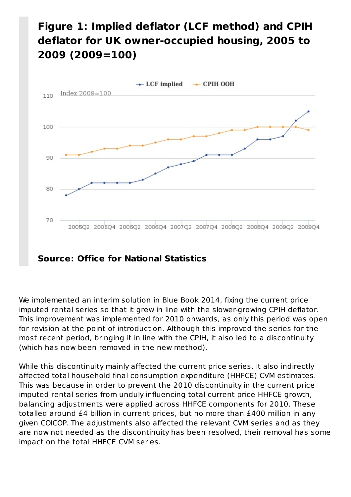#### **Figure 1: Implied deflator (LCF method) and CPIH deflator for UK owner-occupied housing, 2005 to 2009 (2009=100)**



We implemented an interim solution in Blue Book 2014, fixing the current price imputed rental series so that it grew in line with the slower-growing CPIH deflator. This improvement was implemented for 2010 onwards, as only this period was open for revision at the point of introduction. Although this improved the series for the most recent period, bringing it in line with the CPIH, it also led to a discontinuity (which has now been removed in the new method).

While this discontinuity mainly affected the current price series, it also indirectly affected total household final consumption expenditure (HHFCE) CVM estimates. This was because in order to prevent the 2010 discontinuity in the current price imputed rental series from unduly influencing total current price HHFCE growth, balancing adjustments were applied across HHFCE components for 2010. These totalled around £4 billion in current prices, but no more than £400 million in any given COICOP. The adjustments also affected the relevant CVM series and as they are now not needed as the discontinuity has been resolved, their removal has some impact on the total HHFCE CVM series.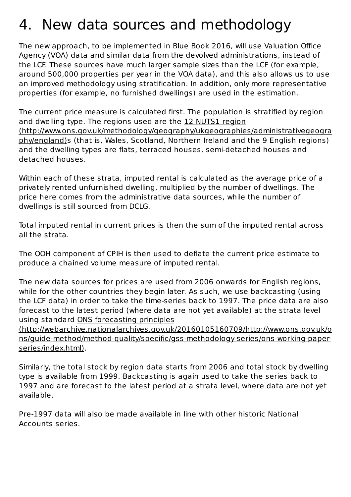#### 4. New data sources and methodology

The new approach, to be implemented in Blue Book 2016, will use Valuation Office Agency (VOA) data and similar data from the devolved administrations, instead of the LCF. These sources have much larger sample sizes than the LCF (for example, around 500,000 properties per year in the VOA data), and this also allows us to use an improved methodology using stratification. In addition, only more representative properties (for example, no furnished dwellings) are used in the estimation.

The current price measure is calculated first. The population is stratified by region and dwelling type. The regions used are the 12 NUTS1 region (http://www.ons.gov.uk/methodology/geography/ukgeographies/administrativegeogra phy/england)s (that is, Wales, Scotland, Northern Ireland and the 9 English regions) and the dwelling types are flats, terraced houses, semi-detached houses and detached houses.

Within each of these strata, imputed rental is calculated as the average price of a privately rented unfurnished dwelling, multiplied by the number of dwellings. The price here comes from the administrative data sources, while the number of dwellings is still sourced from DCLG.

Total imputed rental in current prices is then the sum of the imputed rental across all the strata.

The OOH component of CPIH is then used to deflate the current price estimate to produce a chained volume measure of imputed rental.

The new data sources for prices are used from 2006 onwards for English regions, while for the other countries they begin later. As such, we use backcasting (using the LCF data) in order to take the time-series back to 1997. The price data are also forecast to the latest period (where data are not yet available) at the strata level using standard ONS forecasting principles

(http://webarchive.nationalarchives.gov.uk/20160105160709/http://www.ons.gov.uk/o ns/guide-method/method-quality/specific/gss-methodology-series/ons-working-paperseries/index.html).

Similarly, the total stock by region data starts from 2006 and total stock by dwelling type is available from 1999. Backcasting is again used to take the series back to 1997 and are forecast to the latest period at a strata level, where data are not yet available.

Pre-1997 data will also be made available in line with other historic National Accounts series.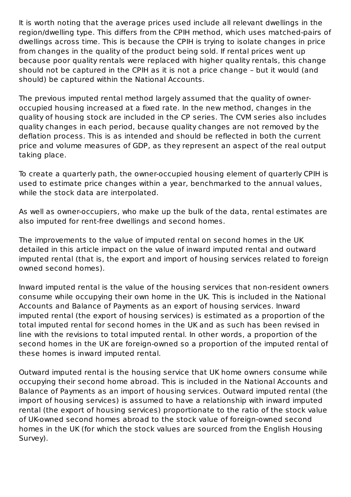It is worth noting that the average prices used include all relevant dwellings in the region/dwelling type. This differs from the CPIH method, which uses matched-pairs of dwellings across time. This is because the CPIH is trying to isolate changes in price from changes in the quality of the product being sold. If rental prices went up because poor quality rentals were replaced with higher quality rentals, this change should not be captured in the CPIH as it is not a price change – but it would (and should) be captured within the National Accounts.

The previous imputed rental method largely assumed that the quality of owneroccupied housing increased at a fixed rate. In the new method, changes in the quality of housing stock are included in the CP series. The CVM series also includes quality changes in each period, because quality changes are not removed by the deflation process. This is as intended and should be reflected in both the current price and volume measures of GDP, as they represent an aspect of the real output taking place.

To create a quarterly path, the owner-occupied housing element of quarterly CPIH is used to estimate price changes within a year, benchmarked to the annual values, while the stock data are interpolated.

As well as owner-occupiers, who make up the bulk of the data, rental estimates are also imputed for rent-free dwellings and second homes.

The improvements to the value of imputed rental on second homes in the UK detailed in this article impact on the value of inward imputed rental and outward imputed rental (that is, the export and import of housing services related to foreign owned second homes).

Inward imputed rental is the value of the housing services that non-resident owners consume while occupying their own home in the UK. This is included in the National Accounts and Balance of Payments as an export of housing services. Inward imputed rental (the export of housing services) is estimated as a proportion of the total imputed rental for second homes in the UK and as such has been revised in line with the revisions to total imputed rental. In other words, a proportion of the second homes in the UK are foreign-owned so a proportion of the imputed rental of these homes is inward imputed rental.

Outward imputed rental is the housing service that UK home owners consume while occupying their second home abroad. This is included in the National Accounts and Balance of Payments as an import of housing services. Outward imputed rental (the import of housing services) is assumed to have a relationship with inward imputed rental (the export of housing services) proportionate to the ratio of the stock value of UK-owned second homes abroad to the stock value of foreign-owned second homes in the UK (for which the stock values are sourced from the English Housing Survey).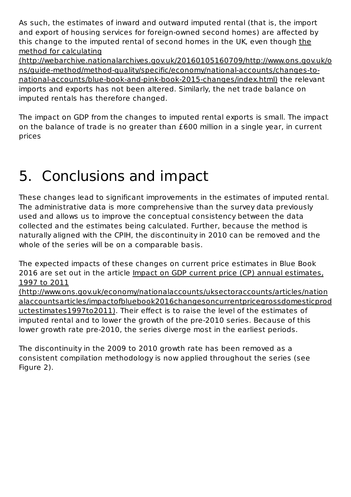As such, the estimates of inward and outward imputed rental (that is, the import and export of housing services for foreign-owned second homes) are affected by this change to the imputed rental of second homes in the UK, even though the method for calculating

(http://webarchive.nationalarchives.gov.uk/20160105160709/http://www.ons.gov.uk/o ns/guide-method/method-quality/specific/economy/national-accounts/changes-tonational-accounts/blue-book-and-pink-book-2015-changes/index.html) the relevant imports and exports has not been altered. Similarly, the net trade balance on imputed rentals has therefore changed.

The impact on GDP from the changes to imputed rental exports is small. The impact on the balance of trade is no greater than £600 million in a single year, in current prices

### 5. Conclusions and impact

These changes lead to significant improvements in the estimates of imputed rental. The administrative data is more comprehensive than the survey data previously used and allows us to improve the conceptual consistency between the data collected and the estimates being calculated. Further, because the method is naturally aligned with the CPIH, the discontinuity in 2010 can be removed and the whole of the series will be on a comparable basis.

The expected impacts of these changes on current price estimates in Blue Book 2016 are set out in the article Impact on GDP current price (CP) annual estimates, 1997 to 2011

(http://www.ons.gov.uk/economy/nationalaccounts/uksectoraccounts/articles/nation alaccountsarticles/impactofbluebook2016changesoncurrentpricegrossdomesticprod uctestimates1997to2011). Their effect is to raise the level of the estimates of imputed rental and to lower the growth of the pre-2010 series. Because of this lower growth rate pre-2010, the series diverge most in the earliest periods.

The discontinuity in the 2009 to 2010 growth rate has been removed as a consistent compilation methodology is now applied throughout the series (see Figure 2).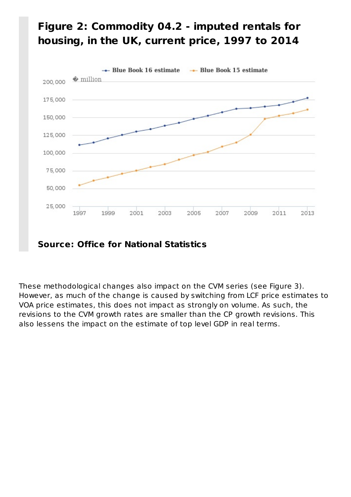

#### **Figure 2: Commodity 04.2 - imputed rentals for housing, in the UK, current price, 1997 to 2014**

#### **Source: Office for National Statistics**

These methodological changes also impact on the CVM series (see Figure 3). However, as much of the change is caused by switching from LCF price estimates to VOA price estimates, this does not impact as strongly on volume. As such, the revisions to the CVM growth rates are smaller than the CP growth revisions. This also lessens the impact on the estimate of top level GDP in real terms.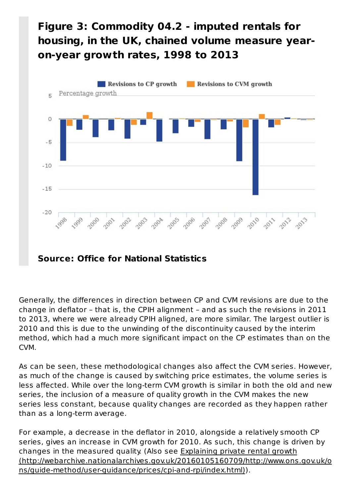#### **Figure 3: Commodity 04.2 - imputed rentals for housing, in the UK, chained volume measure yearon-year growth rates, 1998 to 2013**



**Source: Office for National Statistics**

Generally, the differences in direction between CP and CVM revisions are due to the change in deflator – that is, the CPIH alignment – and as such the revisions in 2011 to 2013, where we were already CPIH aligned, are more similar. The largest outlier is 2010 and this is due to the unwinding of the discontinuity caused by the interim method, which had a much more significant impact on the CP estimates than on the CVM.

As can be seen, these methodological changes also affect the CVM series. However, as much of the change is caused by switching price estimates, the volume series is less affected. While over the long-term CVM growth is similar in both the old and new series, the inclusion of a measure of quality growth in the CVM makes the new series less constant, because quality changes are recorded as they happen rather than as a long-term average.

For example, a decrease in the deflator in 2010, alongside a relatively smooth CP series, gives an increase in CVM growth for 2010. As such, this change is driven by changes in the measured quality. (Also see Explaining private rental growth (http://webarchive.nationalarchives.gov.uk/20160105160709/http://www.ons.gov.uk/o ns/guide-method/user-guidance/prices/cpi-and-rpi/index.html)).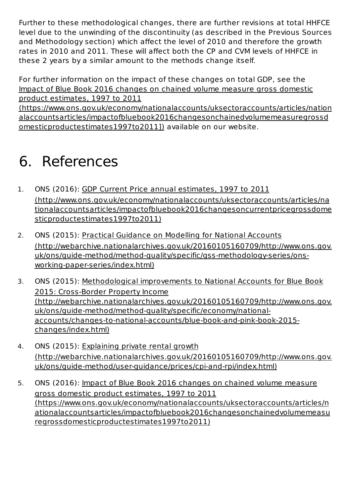Further to these methodological changes, there are further revisions at total HHFCE level due to the unwinding of the discontinuity (as described in the Previous Sources and Methodology section) which affect the level of 2010 and therefore the growth rates in 2010 and 2011. These will affect both the CP and CVM levels of HHFCE in these 2 years by a similar amount to the methods change itself.

For further information on the impact of these changes on total GDP, see the Impact of Blue Book 2016 changes on chained volume measure gross domestic product estimates, 1997 to 2011

(https://www.ons.gov.uk/economy/nationalaccounts/uksectoraccounts/articles/nation alaccountsarticles/impactofbluebook2016changesonchainedvolumemeasuregrossd omesticproductestimates1997to2011]) available on our website.

#### 6. References

- 1. ONS (2016): GDP Current Price annual estimates, 1997 to 2011 (http://www.ons.gov.uk/economy/nationalaccounts/uksectoraccounts/articles/na tionalaccountsarticles/impactofbluebook2016changesoncurrentpricegrossdome sticproductestimates1997to2011)
- 2. ONS (2015): Practical Guidance on Modelling for National Accounts (http://webarchive.nationalarchives.gov.uk/20160105160709/http://www.ons.gov. uk/ons/guide-method/method-quality/specific/gss-methodology-series/onsworking-paper-series/index.html)
- 3. ONS (2015): Methodological improvements to National Accounts for Blue Book 2015: Cross-Border Property Income (http://webarchive.nationalarchives.gov.uk/20160105160709/http://www.ons.gov. uk/ons/guide-method/method-quality/specific/economy/nationalaccounts/changes-to-national-accounts/blue-book-and-pink-book-2015 changes/index.html)
- 4. ONS (2015): Explaining private rental growth (http://webarchive.nationalarchives.gov.uk/20160105160709/http://www.ons.gov. uk/ons/guide-method/user-guidance/prices/cpi-and-rpi/index.html)
- 5. ONS (2016): Impact of Blue Book 2016 changes on chained volume measure gross domestic product estimates, 1997 to 2011 (https://www.ons.gov.uk/economy/nationalaccounts/uksectoraccounts/articles/n ationalaccountsarticles/impactofbluebook2016changesonchainedvolumemeasu regrossdomesticproductestimates1997to2011)